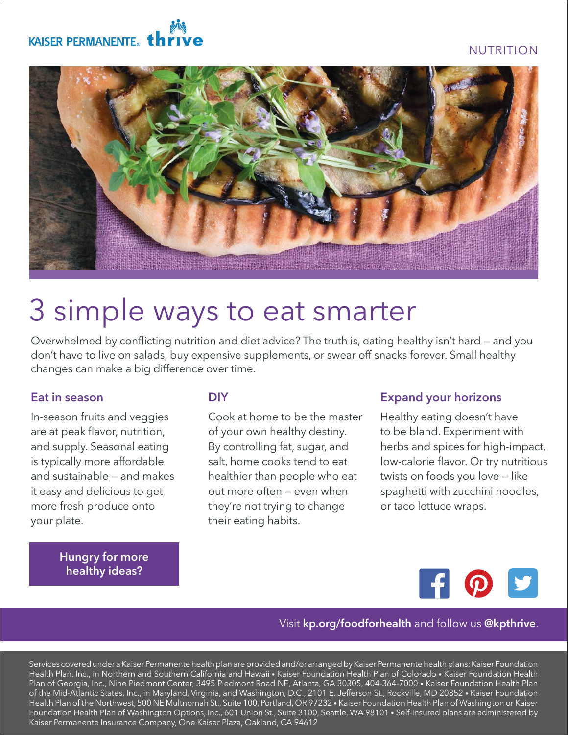# NUTRITION





# 3 simple ways to eat smarter

Overwhelmed by conflicting nutrition and diet advice? The truth is, eating healthy isn't hard — and you don't have to live on salads, buy expensive supplements, or swear off snacks forever. Small healthy changes can make a big difference over time.

#### Eat in season

In-season fruits and veggies are at peak flavor, nutrition, and supply. Seasonal eating is typically more affordable and sustainable — and makes it easy and delicious to get more fresh produce onto your plate.

> [Hungry for more](http://kp.org/foodforhealth)  healthy ideas?

#### **DIY**

Cook at home to be the master of your own healthy destiny. By controlling fat, sugar, and salt, home cooks tend to eat healthier than people who eat out more often — even when they're not trying to change their eating habits.

#### Expand your horizons

Healthy eating doesn't have to be bland. Experiment with herbs and spices for high-impact, low-calorie flavor. Or try nutritious twists on foods you love — like spaghetti with zucchini noodles, or taco lettuce wraps.



#### Visit kp.org/foodforhealth and follow us @kpthrive.

Services covered under a Kaiser Permanente health plan are provided and/or arranged by Kaiser Permanente health plans: Kaiser Foundation Health Plan, Inc., in Northern and Southern California and Hawaii • Kaiser Foundation Health Plan of Colorado • Kaiser Foundation Health Plan of Georgia, Inc., Nine Piedmont Center, 3495 Piedmont Road NE, Atlanta, GA 30305, 404-364-7000 • Kaiser Foundation Health Plan of the Mid-Atlantic States, Inc., in Maryland, Virginia, and Washington, D.C., 2101 E. Jefferson St., Rockville, MD 20852 • Kaiser Foundation Health Plan of the Northwest, 500 NE Multnomah St., Suite 100, Portland, OR 97232 • Kaiser Foundation Health Plan of Washington or Kaiser Foundation Health Plan of Washington Options, Inc., 601 Union St., Suite 3100, Seattle, WA 98101 • Self-insured plans are administered by Kaiser Permanente Insurance Company, One Kaiser Plaza, Oakland, CA 94612